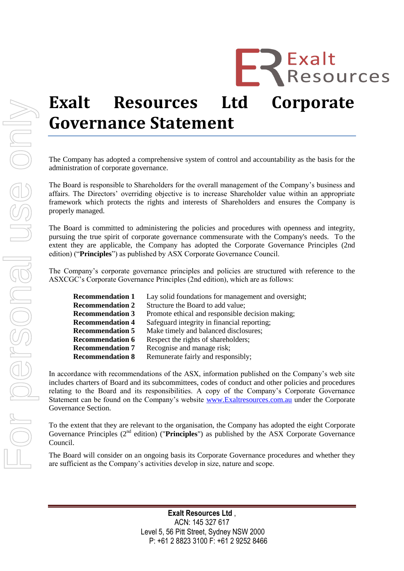# **Exalt Resources Ltd Corporate Governance Statement**

**EREXALTS**<br>**ERESOURCES** 

The Company has adopted a comprehensive system of control and accountability as the basis for the administration of corporate governance.

The Board is responsible to Shareholders for the overall management of the Company's business and affairs. The Directors' overriding objective is to increase Shareholder value within an appropriate framework which protects the rights and interests of Shareholders and ensures the Company is properly managed.

The Board is committed to administering the policies and procedures with openness and integrity, pursuing the true spirit of corporate governance commensurate with the Company's needs. To the extent they are applicable, the Company has adopted the Corporate Governance Principles (2nd edition) ("**Principles**") as published by ASX Corporate Governance Council.

The Company's corporate governance principles and policies are structured with reference to the ASXCGC's Corporate Governance Principles (2nd edition), which are as follows:

| <b>Recommendation 1</b> | Lay solid foundations for management and oversight; |
|-------------------------|-----------------------------------------------------|
| <b>Recommendation 2</b> | Structure the Board to add value;                   |
| <b>Recommendation 3</b> | Promote ethical and responsible decision making;    |
| <b>Recommendation 4</b> | Safeguard integrity in financial reporting;         |
| <b>Recommendation 5</b> | Make timely and balanced disclosures;               |
| <b>Recommendation 6</b> | Respect the rights of shareholders;                 |
| <b>Recommendation 7</b> | Recognise and manage risk;                          |
| <b>Recommendation 8</b> | Remunerate fairly and responsibly;                  |

In accordance with recommendations of the ASX, information published on the Company's web site includes charters of Board and its subcommittees, codes of conduct and other policies and procedures relating to the Board and its responsibilities. A copy of the Company's Corporate Governance Statement can be found on the Company's website [www.Exaltresources.com.au](http://www.forgeresources.com.au/) under the Corporate Governance Section.

To the extent that they are relevant to the organisation, the Company has adopted the eight Corporate Governance Principles (2nd edition) ("**Principles**") as published by the ASX Corporate Governance Council.

The Board will consider on an ongoing basis its Corporate Governance procedures and whether they are sufficient as the Company's activities develop in size, nature and scope.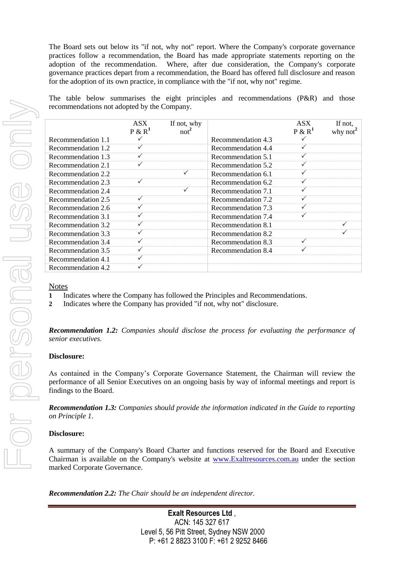The Board sets out below its "if not, why not" report. Where the Company's corporate governance practices follow a recommendation, the Board has made appropriate statements reporting on the adoption of the recommendation. Where, after due consideration, the Company's corporate governance practices depart from a recommendation, the Board has offered full disclosure and reason for the adoption of its own practice, in compliance with the "if not, why not" regime.

The table below summarises the eight principles and recommendations (P&R) and those recommendations not adopted by the Company.

|                    | ASX<br>$P & R^1$ | If not, why<br>not <sup>2</sup> |                    | <b>ASX</b><br>P & R <sup>1</sup> | If not,<br>why not $\hat{}$ |
|--------------------|------------------|---------------------------------|--------------------|----------------------------------|-----------------------------|
| Recommendation 1.1 |                  |                                 | Recommendation 4.3 |                                  |                             |
| Recommendation 1.2 |                  |                                 | Recommendation 4.4 |                                  |                             |
| Recommendation 1.3 |                  |                                 | Recommendation 5.1 |                                  |                             |
| Recommendation 2.1 |                  |                                 | Recommendation 5.2 |                                  |                             |
| Recommendation 2.2 |                  |                                 | Recommendation 6.1 |                                  |                             |
| Recommendation 2.3 | ✓                |                                 | Recommendation 6.2 |                                  |                             |
| Recommendation 2.4 |                  |                                 | Recommendation 7.1 |                                  |                             |
| Recommendation 2.5 | ✓                |                                 | Recommendation 7.2 |                                  |                             |
| Recommendation 2.6 |                  |                                 | Recommendation 7.3 |                                  |                             |
| Recommendation 3.1 |                  |                                 | Recommendation 7.4 |                                  |                             |
| Recommendation 3.2 |                  |                                 | Recommendation 8.1 |                                  |                             |
| Recommendation 3.3 |                  |                                 | Recommendation 8.2 |                                  |                             |
| Recommendation 3.4 |                  |                                 | Recommendation 8.3 |                                  |                             |
| Recommendation 3.5 |                  |                                 | Recommendation 8.4 |                                  |                             |
| Recommendation 4.1 |                  |                                 |                    |                                  |                             |
| Recommendation 4.2 |                  |                                 |                    |                                  |                             |

#### **Notes**

- **1** Indicates where the Company has followed the Principles and Recommendations.
- **2** Indicates where the Company has provided "if not, why not" disclosure.

*Recommendation 1.2: Companies should disclose the process for evaluating the performance of senior executives.*

#### **Disclosure:**

As contained in the Company's Corporate Governance Statement, the Chairman will review the performance of all Senior Executives on an ongoing basis by way of informal meetings and report is findings to the Board.

*Recommendation 1.3: Companies should provide the information indicated in the Guide to reporting on Principle 1.*

# **Disclosure:**

A summary of the Company's Board Charter and functions reserved for the Board and Executive Chairman is available on the Company's website at [www.Exaltresources.c](http://www.forgeresources./)om.au under the section marked Corporate Governance.

*Recommendation 2.2: The Chair should be an independent director.*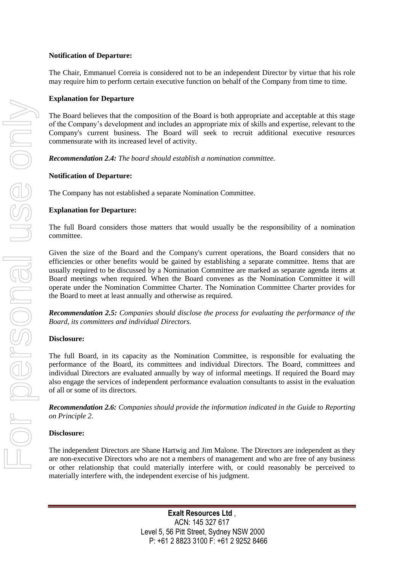## **Notification of Departure:**

The Chair, Emmanuel Correia is considered not to be an independent Director by virtue that his role may require him to perform certain executive function on behalf of the Company from time to time.

## **Explanation for Departure**

The Board believes that the composition of the Board is both appropriate and acceptable at this stage of the Company's development and includes an appropriate mix of skills and expertise, relevant to the Company's current business. The Board will seek to recruit additional executive resources commensurate with its increased level of activity.

*Recommendation 2.4: The board should establish a nomination committee.*

#### **Notification of Departure:**

The Company has not established a separate Nomination Committee.

## **Explanation for Departure:**

The full Board considers those matters that would usually be the responsibility of a nomination committee.

Given the size of the Board and the Company's current operations, the Board considers that no efficiencies or other benefits would be gained by establishing a separate committee. Items that are usually required to be discussed by a Nomination Committee are marked as separate agenda items at Board meetings when required. When the Board convenes as the Nomination Committee it will operate under the Nomination Committee Charter. The Nomination Committee Charter provides for the Board to meet at least annually and otherwise as required.

*Recommendation 2.5: Companies should disclose the process for evaluating the performance of the Board, its committees and individual Directors.*

#### **Disclosure:**

The full Board, in its capacity as the Nomination Committee, is responsible for evaluating the performance of the Board, its committees and individual Directors. The Board, committees and individual Directors are evaluated annually by way of informal meetings. If required the Board may also engage the services of independent performance evaluation consultants to assist in the evaluation of all or some of its directors.

*Recommendation 2.6: Companies should provide the information indicated in the Guide to Reporting on Principle 2.*

#### **Disclosure:**

The independent Directors are Shane Hartwig and Jim Malone. The Directors are independent as they are non-executive Directors who are not a members of management and who are free of any business or other relationship that could materially interfere with, or could reasonably be perceived to materially interfere with, the independent exercise of his judgment.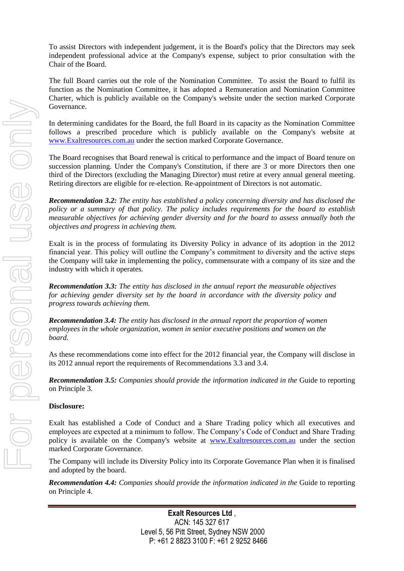To assist Directors with independent judgement, it is the Board's policy that the Directors may seek independent professional advice at the Company's expense, subject to prior consultation with the Chair of the Board.

The full Board carries out the role of the Nomination Committee. To assist the Board to fulfil its function as the Nomination Committee, it has adopted a Remuneration and Nomination Committee Charter, which is publicly available on the Company's website under the section marked Corporate Governance.

In determining candidates for the Board, the full Board in its capacity as the Nomination Committee follows a prescribed procedure which is publicly available on the Company's website at [www.Exaltresources.c](http://www.forgeresources./)om.au under the section marked Corporate Governance.

The Board recognises that Board renewal is critical to performance and the impact of Board tenure on succession planning. Under the Company's Constitution, if there are 3 or more Directors then one third of the Directors (excluding the Managing Director) must retire at every annual general meeting. Retiring directors are eligible for re-election. Re-appointment of Directors is not automatic.

*Recommendation 3.2: The entity has established a policy concerning diversity and has disclosed the policy or a summary of that policy. The policy includes requirements for the board to establish measurable objectives for achieving gender diversity and for the board to assess annually both the objectives and progress in achieving them.*

Exalt is in the process of formulating its Diversity Policy in advance of its adoption in the 2012 financial year. This policy will outline the Company's commitment to diversity and the active steps the Company will take in implementing the policy, commensurate with a company of its size and the industry with which it operates.

*Recommendation 3.3: The entity has disclosed in the annual report the measurable objectives for achieving gender diversity set by the board in accordance with the diversity policy and progress towards achieving them.*

*Recommendation 3.4: The entity has disclosed in the annual report the proportion of women employees in the whole organization, women in senior executive positions and women on the board.*

As these recommendations come into effect for the 2012 financial year, the Company will disclose in its 2012 annual report the requirements of Recommendations 3.3 and 3.4.

*Recommendation 3.5: Companies should provide the information indicated in the* Guide to reporting on Principle 3.

# **Disclosure:**

Exalt has established a Code of Conduct and a Share Trading policy which all executives and employees are expected at a minimum to follow. The Company's Code of Conduct and Share Trading policy is available on the Company's website at [www.Exaltresources.c](http://www.forgeresources./)om.au under the section marked Corporate Governance.

The Company will include its Diversity Policy into its Corporate Governance Plan when it is finalised and adopted by the board.

*Recommendation 4.4: Companies should provide the information indicated in the* Guide to reporting on Principle 4.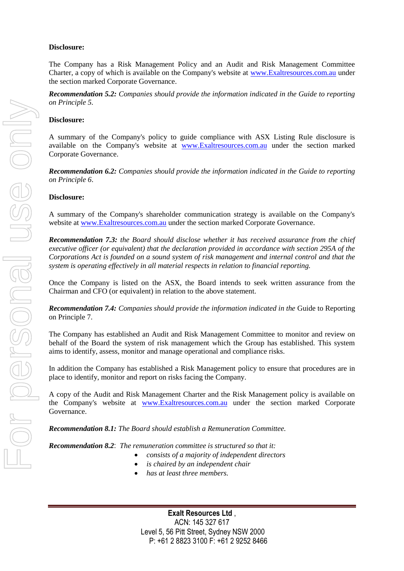## **Disclosure:**

The Company has a Risk Management Policy and an Audit and Risk Management Committee Charter, a copy of which is available on the Company's website at [www.Exaltresources.c](http://www.forgeresources./)om.au under the section marked Corporate Governance.

*Recommendation 5.2: Companies should provide the information indicated in the Guide to reporting on Principle 5.*

## **Disclosure:**

A summary of the Company's policy to guide compliance with ASX Listing Rule disclosure is available on the Company's website at [www.Exaltresources.c](http://www.forgeresources./)om.au under the section marked Corporate Governance.

*Recommendation 6.2: Companies should provide the information indicated in the Guide to reporting on Principle 6*.

#### **Disclosure:**

A summary of the Company's shareholder communication strategy is available on the Company's website at [www.Exaltresources.c](http://www.forgeresources./)om.au under the section marked Corporate Governance.

*Recommendation 7.3: the Board should disclose whether it has received assurance from the chief executive officer (or equivalent) that the declaration provided in accordance with section 295A of the Corporations Act is founded on a sound system of risk management and internal control and that the system is operating effectively in all material respects in relation to financial reporting.* 

Once the Company is listed on the ASX, the Board intends to seek written assurance from the Chairman and CFO (or equivalent) in relation to the above statement.

*Recommendation 7.4: Companies should provide the information indicated in the* Guide to Reporting on Principle 7.

The Company has established an Audit and Risk Management Committee to monitor and review on behalf of the Board the system of risk management which the Group has established. This system aims to identify, assess, monitor and manage operational and compliance risks.

In addition the Company has established a Risk Management policy to ensure that procedures are in place to identify, monitor and report on risks facing the Company.

A copy of the Audit and Risk Management Charter and the Risk Management policy is available on the Company's website at [www.Exaltresources.c](http://www.forgeresources./)om.au under the section marked Corporate Governance.

*Recommendation 8.1: The Board should establish a Remuneration Committee.*

*Recommendation 8.2*: *The remuneration committee is structured so that it:*

- *consists of a majority of independent directors*
- *is chaired by an independent chair*
- *has at least three members.*